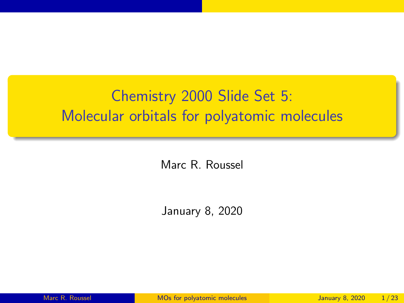# <span id="page-0-0"></span>Chemistry 2000 Slide Set 5: Molecular orbitals for polyatomic molecules

Marc R. Roussel

January 8, 2020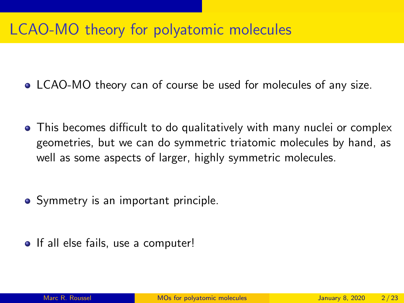## LCAO-MO theory for polyatomic molecules

- LCAO-MO theory can of course be used for molecules of any size.
- This becomes difficult to do qualitatively with many nuclei or complex geometries, but we can do symmetric triatomic molecules by hand, as well as some aspects of larger, highly symmetric molecules.
- Symmetry is an important principle.
- If all else fails, use a computer!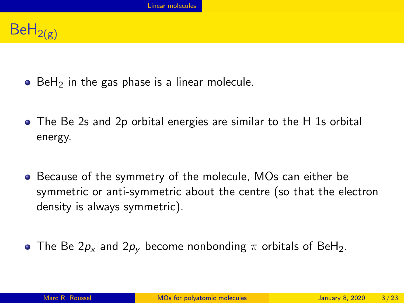# <span id="page-2-0"></span> $BeH_{2(g)}$

- $\bullet$  BeH<sub>2</sub> in the gas phase is a linear molecule.
- The Be 2s and 2p orbital energies are similar to the H 1s orbital energy.
- **•** Because of the symmetry of the molecule, MOs can either be symmetric or anti-symmetric about the centre (so that the electron density is always symmetric).
- The Be  $2p_x$  and  $2p_y$  become nonbonding  $\pi$  orbitals of BeH<sub>2</sub>.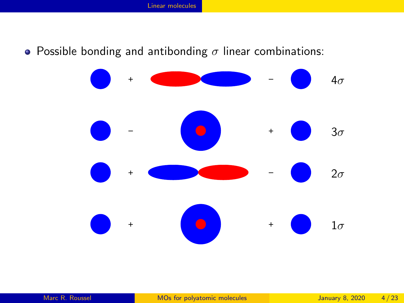• Possible bonding and antibonding  $\sigma$  linear combinations:

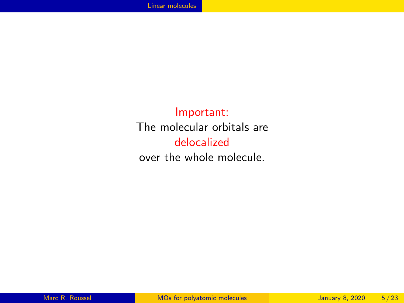Important: The molecular orbitals are delocalized over the whole molecule.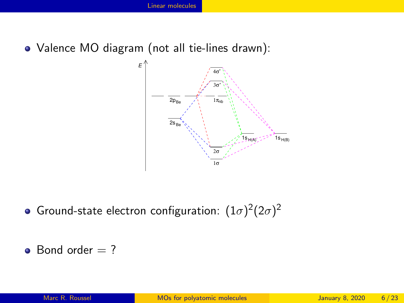Valence MO diagram (not all tie-lines drawn):



Ground-state electron configuration:  $(1\sigma)^2(2\sigma)^2$ 

 $\bullet$  Bond order  $= ?$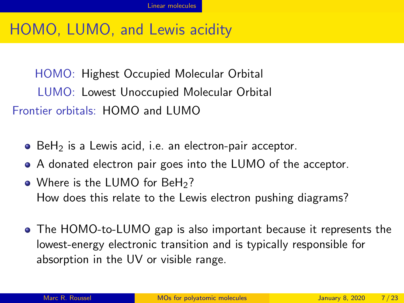# HOMO, LUMO, and Lewis acidity

HOMO: Highest Occupied Molecular Orbital LUMO: Lowest Unoccupied Molecular Orbital Frontier orbitals: HOMO and LUMO

- $\bullet$  BeH<sub>2</sub> is a Lewis acid, i.e. an electron-pair acceptor.
- A donated electron pair goes into the LUMO of the acceptor.
- Where is the LUMO for BeH<sub>2</sub>? How does this relate to the Lewis electron pushing diagrams?
- The HOMO-to-LUMO gap is also important because it represents the lowest-energy electronic transition and is typically responsible for absorption in the UV or visible range.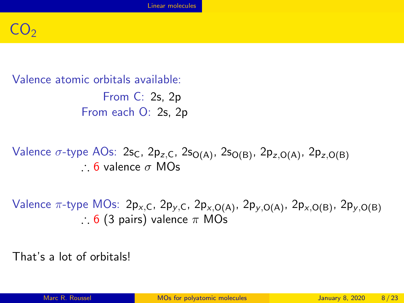# $CO_{2}$

Valence atomic orbitals available:

From C: 2s, 2p From each O: 2s, 2p

Valence  $\sigma$ -type AOs: 2s<sub>C</sub>, 2p<sub>z,C</sub>, 2s<sub>O(A)</sub>, 2s<sub>O(B)</sub>, 2p<sub>z,O(A)</sub>, 2p<sub>z,O(B)</sub> ∴ 6 valence σ MOs

Valence  $\pi$ -type MOs: 2p<sub>x,C</sub>, 2p<sub>y,C</sub>, 2p<sub>x,O(A)</sub>, 2p<sub>y,O(A)</sub>, 2p<sub>x,O(B)</sub>, 2p<sub>y,O(B)</sub> ∴ 6 (3 pairs) valence  $\pi$  MOs

That's a lot of orbitals!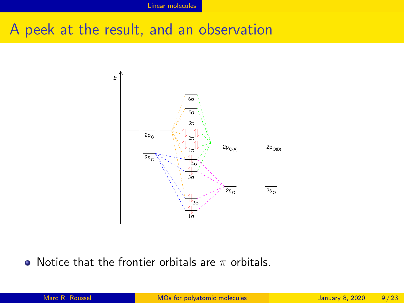#### A peek at the result, and an observation



• Notice that the frontier orbitals are  $\pi$  orbitals.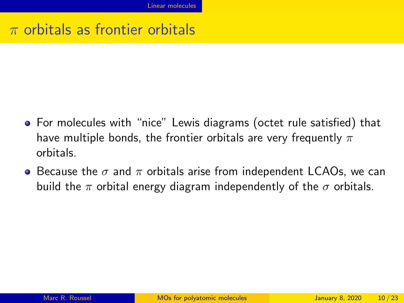#### $\pi$  orbitals as frontier orbitals

- For molecules with "nice" Lewis diagrams (octet rule satisfied) that have multiple bonds, the frontier orbitals are very frequently  $\pi$ orbitals.
- $\bullet$  Because the  $\sigma$  and  $\pi$  orbitals arise from independent LCAOs, we can build the  $\pi$  orbital energy diagram independently of the  $\sigma$  orbitals.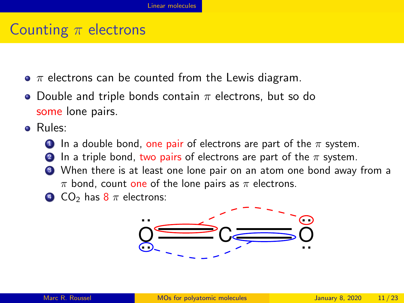## Counting  $\pi$  electrons

- $\bullet$   $\pi$  electrons can be counted from the Lewis diagram.
- Double and triple bonds contain  $\pi$  electrons, but so do some lone pairs.
- Rules:
	- **1** In a double bond, one pair of electrons are part of the  $\pi$  system.
		- In a triple bond, two pairs of electrons are part of the  $\pi$  system.
	- <sup>3</sup> When there is at least one lone pair on an atom one bond away from a  $\pi$  bond, count one of the lone pairs as  $\pi$  electrons.
	- $\bullet$  CO<sub>2</sub> has  $8 \pi$  electrons:

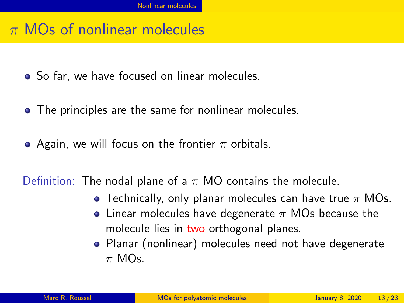#### <span id="page-11-0"></span> $\pi$  MOs of nonlinear molecules

- So far, we have focused on linear molecules.
- The principles are the same for nonlinear molecules.
- Again, we will focus on the frontier  $\pi$  orbitals.

Definition: The nodal plane of a  $\pi$  MO contains the molecule.

- Technically, only planar molecules can have true  $\pi$  MOs.
- Linear molecules have degenerate  $\pi$  MOs because the molecule lies in two orthogonal planes.
- Planar (nonlinear) molecules need not have degenerate  $π$  MOs.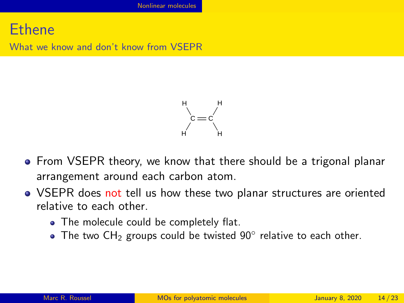#### Ethene

What we know and don't know from VSEPR



- From VSEPR theory, we know that there should be a trigonal planar arrangement around each carbon atom.
- VSEPR does not tell us how these two planar structures are oriented relative to each other.
	- The molecule could be completely flat.
	- The two  $CH_2$  groups could be twisted  $90^\circ$  relative to each other.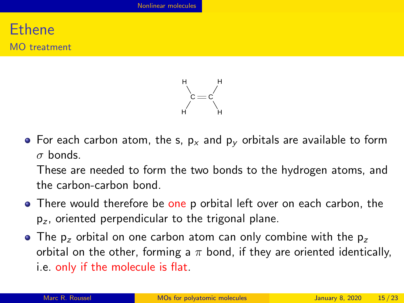#### Ethene MO treatment



• For each carbon atom, the s,  $p_x$  and  $p_y$  orbitals are available to form  $\sigma$  bonds.

These are needed to form the two bonds to the hydrogen atoms, and the carbon-carbon bond.

- There would therefore be one p orbital left over on each carbon, the  $p<sub>z</sub>$ , oriented perpendicular to the trigonal plane.
- $\bullet$  The p<sub>z</sub> orbital on one carbon atom can only combine with the p<sub>z</sub> orbital on the other, forming a  $\pi$  bond, if they are oriented identically, i.e. only if the molecule is flat.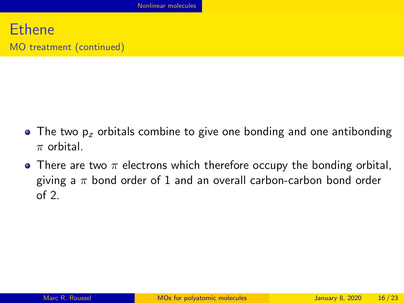- $\bullet$  The two  $p_z$  orbitals combine to give one bonding and one antibonding  $\pi$  orbital.
- There are two  $\pi$  electrons which therefore occupy the bonding orbital. giving a  $\pi$  bond order of 1 and an overall carbon-carbon bond order of 2.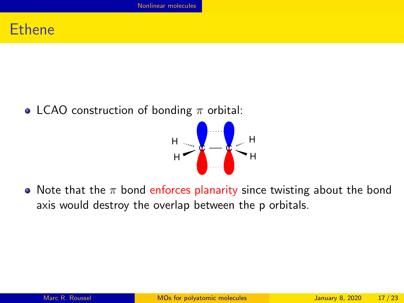#### Ethene

• LCAO construction of bonding  $\pi$  orbital:



• Note that the  $\pi$  bond enforces planarity since twisting about the bond axis would destroy the overlap between the p orbitals.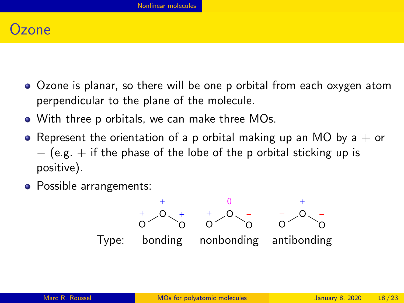#### $7$ one

- Ozone is planar, so there will be one p orbital from each oxygen atom perpendicular to the plane of the molecule.
- With three p orbitals, we can make three MOs.
- Represent the orientation of a p orbital making up an MO by a  $+$  or  $-$  (e.g.  $+$  if the phase of the lobe of the p orbital sticking up is positive).
- Possible arrangements:

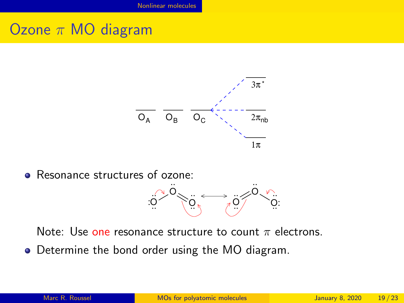## Ozone  $\pi$  MO diagram



Resonance structures of ozone: ..



Note: Use one resonance structure to count  $\pi$  electrons.

Determine the bond order using the MO diagram.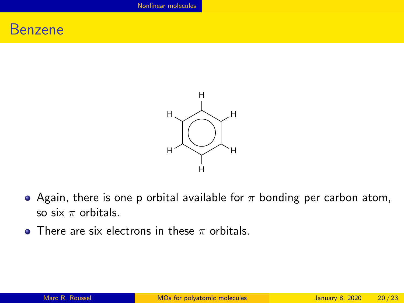#### Benzene



- Again, there is one p orbital available for  $\pi$  bonding per carbon atom, so six  $\pi$  orbitals.
- **There are six electrons in these**  $\pi$  **orbitals.**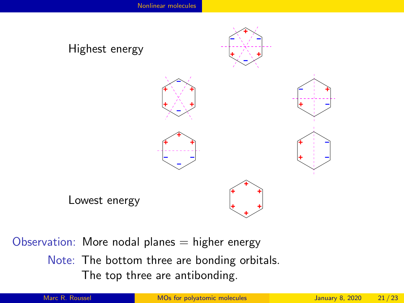

Observation: More nodal planes  $=$  higher energy

Note: The bottom three are bonding orbitals. The top three are antibonding.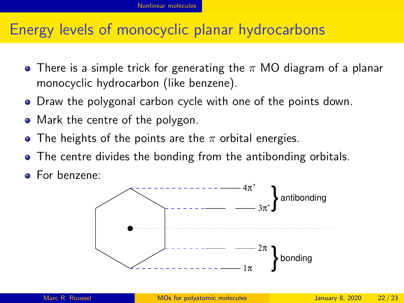#### Energy levels of monocyclic planar hydrocarbons

- **•** There is a simple trick for generating the  $\pi$  MO diagram of a planar monocyclic hydrocarbon (like benzene).
- Draw the polygonal carbon cycle with one of the points down.
- Mark the centre of the polygon.
- The heights of the points are the  $\pi$  orbital energies.
- The centre divides the bonding from the antibonding orbitals.
- For benzene: